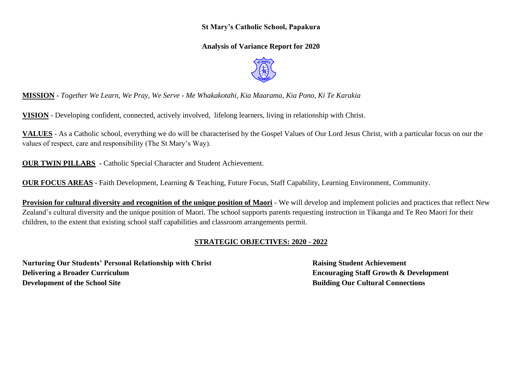## **St Mary's Catholic School, Papakura**

**Analysis of Variance Report for 2020**



**MISSION -** *Together We Learn, We Pray, We Serve - Me Whakakotahi, Kia Maarama, Kia Pono, Ki Te Karakia*

**VISION** - Developing confident, connected, actively involved, lifelong learners, living in relationship with Christ.

**VALUES** - As a Catholic school, everything we do will be characterised by the Gospel Values of Our Lord Jesus Christ, with a particular focus on our the values of respect, care and responsibility (The St Mary's Way).

**OUR TWIN PILLARS** - Catholic Special Character and Student Achievement.

**OUR FOCUS AREAS -** Faith Development, Learning & Teaching, Future Focus, Staff Capability, Learning Environment, Community.

**Provision for cultural diversity and recognition of the unique position of Maori** - We will develop and implement policies and practices that reflect New Zealand's cultural diversity and the unique position of Maori. The school supports parents requesting instruction in Tikanga and Te Reo Maori for their children, to the extent that existing school staff capabilities and classroom arrangements permit.

## **STRATEGIC OBJECTIVES: 2020 - 2022**

**Nurturing Our Students' Personal Relationship with Christ Raising Student Achievement Delivering a Broader Curriculum Encouraging Staff Growth & Development Development of the School Site Building Our Cultural Connections**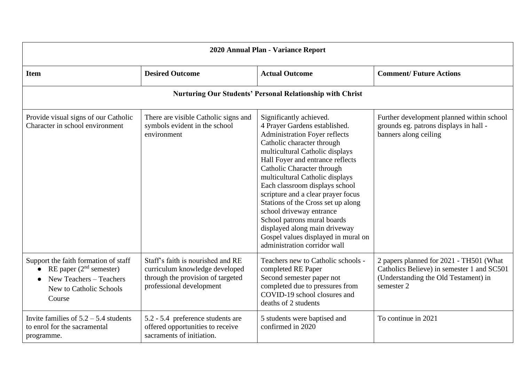| 2020 Annual Plan - Variance Report                                                                                                |                                                                                                                                      |                                                                                                                                                                                                                                                                                                                                                                                                                                                                                                                                                         |                                                                                                                                             |  |  |  |  |  |  |
|-----------------------------------------------------------------------------------------------------------------------------------|--------------------------------------------------------------------------------------------------------------------------------------|---------------------------------------------------------------------------------------------------------------------------------------------------------------------------------------------------------------------------------------------------------------------------------------------------------------------------------------------------------------------------------------------------------------------------------------------------------------------------------------------------------------------------------------------------------|---------------------------------------------------------------------------------------------------------------------------------------------|--|--|--|--|--|--|
| <b>Item</b>                                                                                                                       | <b>Desired Outcome</b>                                                                                                               | <b>Actual Outcome</b>                                                                                                                                                                                                                                                                                                                                                                                                                                                                                                                                   | <b>Comment/Future Actions</b>                                                                                                               |  |  |  |  |  |  |
|                                                                                                                                   | <b>Nurturing Our Students' Personal Relationship with Christ</b>                                                                     |                                                                                                                                                                                                                                                                                                                                                                                                                                                                                                                                                         |                                                                                                                                             |  |  |  |  |  |  |
| Provide visual signs of our Catholic<br>Character in school environment                                                           | There are visible Catholic signs and<br>symbols evident in the school<br>environment                                                 | Significantly achieved.<br>4 Prayer Gardens established.<br><b>Administration Foyer reflects</b><br>Catholic character through<br>multicultural Catholic displays<br>Hall Foyer and entrance reflects<br>Catholic Character through<br>multicultural Catholic displays<br>Each classroom displays school<br>scripture and a clear prayer focus<br>Stations of the Cross set up along<br>school driveway entrance<br>School patrons mural boards<br>displayed along main driveway<br>Gospel values displayed in mural on<br>administration corridor wall | Further development planned within school<br>grounds eg. patrons displays in hall -<br>banners along ceiling                                |  |  |  |  |  |  |
| Support the faith formation of staff<br>RE paper $(2nd$ semester)<br>New Teachers - Teachers<br>New to Catholic Schools<br>Course | Staff's faith is nourished and RE<br>curriculum knowledge developed<br>through the provision of targeted<br>professional development | Teachers new to Catholic schools -<br>completed RE Paper<br>Second semester paper not<br>completed due to pressures from<br>COVID-19 school closures and<br>deaths of 2 students                                                                                                                                                                                                                                                                                                                                                                        | 2 papers planned for 2021 - TH501 (What<br>Catholics Believe) in semester 1 and SC501<br>(Understanding the Old Testament) in<br>semester 2 |  |  |  |  |  |  |
| Invite families of $5.2 - 5.4$ students<br>to enrol for the sacramental<br>programme.                                             | 5.2 - 5.4 preference students are<br>offered opportunities to receive<br>sacraments of initiation.                                   | 5 students were baptised and<br>confirmed in 2020                                                                                                                                                                                                                                                                                                                                                                                                                                                                                                       | To continue in 2021                                                                                                                         |  |  |  |  |  |  |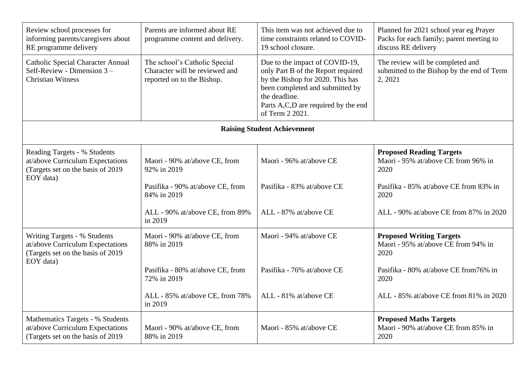| Review school processes for<br>informing parents/caregivers about<br>RE programme delivery                          | Parents are informed about RE<br>programme content and delivery.                              | This item was not achieved due to<br>time constraints related to COVID-<br>19 school closure.                                                                                                                          | Planned for 2021 school year eg Prayer<br>Packs for each family; parent meeting to<br>discuss RE delivery |  |
|---------------------------------------------------------------------------------------------------------------------|-----------------------------------------------------------------------------------------------|------------------------------------------------------------------------------------------------------------------------------------------------------------------------------------------------------------------------|-----------------------------------------------------------------------------------------------------------|--|
| <b>Catholic Special Character Annual</b><br>Self-Review - Dimension 3 -<br><b>Christian Witness</b>                 | The school's Catholic Special<br>Character will be reviewed and<br>reported on to the Bishop. | Due to the impact of COVID-19,<br>only Part B of the Report required<br>by the Bishop for 2020. This has<br>been completed and submitted by<br>the deadline.<br>Parts A,C,D are required by the end<br>of Term 2 2021. |                                                                                                           |  |
|                                                                                                                     |                                                                                               | <b>Raising Student Achievement</b>                                                                                                                                                                                     |                                                                                                           |  |
| Reading Targets - % Students<br>at/above Curriculum Expectations<br>(Targets set on the basis of 2019)<br>EOY data) | Maori - 90% at/above CE, from<br>92% in 2019                                                  | Maori - 96% at/above CE                                                                                                                                                                                                | <b>Proposed Reading Targets</b><br>Maori - 95% at/above CE from 96% in<br>2020                            |  |
|                                                                                                                     | Pasifika - 90% at/above CE, from<br>84% in 2019                                               | Pasifika - 83% at/above CE                                                                                                                                                                                             | Pasifika - 85% at/above CE from 83% in<br>2020                                                            |  |
|                                                                                                                     | ALL - 90% at/above CE, from 89%<br>in 2019                                                    | ALL - 87% at/above CE                                                                                                                                                                                                  | ALL - 90% at/above CE from 87% in 2020                                                                    |  |
| Writing Targets - % Students<br>at/above Curriculum Expectations<br>(Targets set on the basis of 2019<br>EOY data)  | Maori - 90% at/above CE, from<br>88% in 2019                                                  | Maori - 94% at/above CE                                                                                                                                                                                                | <b>Proposed Writing Targets</b><br>Maori - 95% at/above CE from 94% in<br>2020                            |  |
|                                                                                                                     | Pasifika - 80% at/above CE, from<br>72% in 2019                                               | Pasifika - 76% at/above CE                                                                                                                                                                                             | Pasifika - 80% at/above CE from 76% in<br>2020                                                            |  |
|                                                                                                                     | ALL - 85% at/above CE, from 78%<br>in 2019                                                    | ALL - 81% at/above CE                                                                                                                                                                                                  | ALL - 85% at/above CE from 81% in 2020                                                                    |  |
| Mathematics Targets - % Students<br>at/above Curriculum Expectations<br>(Targets set on the basis of 2019)          | Maori - 90% at/above CE, from<br>88% in 2019                                                  | Maori - 85% at/above CE                                                                                                                                                                                                | <b>Proposed Maths Targets</b><br>Maori - 90% at/above CE from 85% in<br>2020                              |  |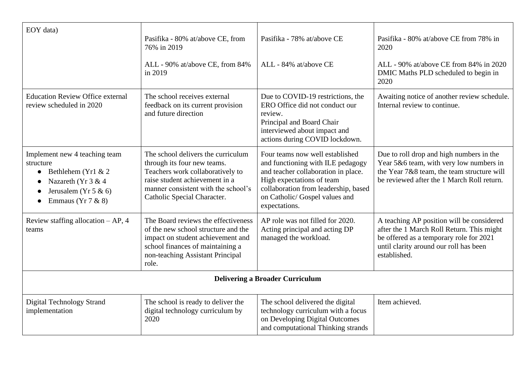| EOY data)                                                                                                                                                                        | Pasifika - 80% at/above CE, from<br>76% in 2019<br>ALL - 90% at/above CE, from 84%<br>in 2019                                                                                                                 | Pasifika - 78% at/above CE<br>ALL - 84% at/above CE                                                                                                                                                                                 | Pasifika - 80% at/above CE from 78% in<br>2020<br>ALL - 90% at/above CE from 84% in 2020<br>DMIC Maths PLD scheduled to begin in<br>2020                                                    |
|----------------------------------------------------------------------------------------------------------------------------------------------------------------------------------|---------------------------------------------------------------------------------------------------------------------------------------------------------------------------------------------------------------|-------------------------------------------------------------------------------------------------------------------------------------------------------------------------------------------------------------------------------------|---------------------------------------------------------------------------------------------------------------------------------------------------------------------------------------------|
| <b>Education Review Office external</b><br>review scheduled in 2020                                                                                                              | The school receives external<br>feedback on its current provision<br>and future direction                                                                                                                     | Due to COVID-19 restrictions, the<br>ERO Office did not conduct our<br>review.<br>Principal and Board Chair<br>interviewed about impact and<br>actions during COVID lockdown.                                                       | Awaiting notice of another review schedule.<br>Internal review to continue.                                                                                                                 |
| Implement new 4 teaching team<br>structure<br>Bethlehem (Yr1 $& 2$<br>$\bullet$<br>Nazareth (Yr 3 & 4<br>$\bullet$<br>Jerusalem (Yr 5 & 6)<br>$\bullet$<br>Emmaus ( $Yr 7 & 8$ ) | The school delivers the curriculum<br>through its four new teams.<br>Teachers work collaboratively to<br>raise student achievement in a<br>manner consistent with the school's<br>Catholic Special Character. | Four teams now well established<br>and functioning with ILE pedagogy<br>and teacher collaboration in place.<br>High expectations of team<br>collaboration from leadership, based<br>on Catholic/ Gospel values and<br>expectations. | Due to roll drop and high numbers in the<br>Year 5&6 team, with very low numbers in<br>the Year 7&8 team, the team structure will<br>be reviewed after the 1 March Roll return.             |
| Review staffing allocation $- AP$ , 4<br>teams                                                                                                                                   | The Board reviews the effectiveness<br>of the new school structure and the<br>impact on student achievement and<br>school finances of maintaining a<br>non-teaching Assistant Principal<br>role.              | AP role was not filled for 2020.<br>Acting principal and acting DP<br>managed the workload.                                                                                                                                         | A teaching AP position will be considered<br>after the 1 March Roll Return. This might<br>be offered as a temporary role for 2021<br>until clarity around our roll has been<br>established. |
|                                                                                                                                                                                  |                                                                                                                                                                                                               | <b>Delivering a Broader Curriculum</b>                                                                                                                                                                                              |                                                                                                                                                                                             |
| <b>Digital Technology Strand</b><br>implementation                                                                                                                               | The school is ready to deliver the<br>digital technology curriculum by<br>2020                                                                                                                                | The school delivered the digital<br>technology curriculum with a focus<br>on Developing Digital Outcomes<br>and computational Thinking strands                                                                                      | Item achieved.                                                                                                                                                                              |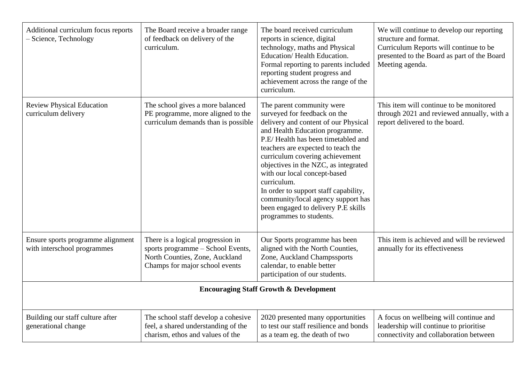| Additional curriculum focus reports<br>- Science, Technology     | The Board receive a broader range<br>of feedback on delivery of the<br>curriculum.                                                         | The board received curriculum<br>reports in science, digital<br>technology, maths and Physical<br>Education/Health Education.<br>Formal reporting to parents included<br>reporting student progress and<br>achievement across the range of the<br>curriculum.                                                                                                                                                                                                                               | We will continue to develop our reporting<br>structure and format.<br>Curriculum Reports will continue to be<br>presented to the Board as part of the Board<br>Meeting agenda. |
|------------------------------------------------------------------|--------------------------------------------------------------------------------------------------------------------------------------------|---------------------------------------------------------------------------------------------------------------------------------------------------------------------------------------------------------------------------------------------------------------------------------------------------------------------------------------------------------------------------------------------------------------------------------------------------------------------------------------------|--------------------------------------------------------------------------------------------------------------------------------------------------------------------------------|
| <b>Review Physical Education</b><br>curriculum delivery          | The school gives a more balanced<br>PE programme, more aligned to the<br>curriculum demands than is possible                               | The parent community were<br>surveyed for feedback on the<br>delivery and content of our Physical<br>and Health Education programme.<br>P.E/Health has been timetabled and<br>teachers are expected to teach the<br>curriculum covering achievement<br>objectives in the NZC, as integrated<br>with our local concept-based<br>curriculum.<br>In order to support staff capability,<br>community/local agency support has<br>been engaged to delivery P.E skills<br>programmes to students. | This item will continue to be monitored<br>through 2021 and reviewed annually, with a<br>report delivered to the board.                                                        |
| Ensure sports programme alignment<br>with interschool programmes | There is a logical progression in<br>sports programme - School Events,<br>North Counties, Zone, Auckland<br>Champs for major school events | Our Sports programme has been<br>aligned with the North Counties,<br>Zone, Auckland Champssports<br>calendar, to enable better<br>participation of our students.                                                                                                                                                                                                                                                                                                                            | This item is achieved and will be reviewed<br>annually for its effectiveness                                                                                                   |
|                                                                  |                                                                                                                                            | <b>Encouraging Staff Growth &amp; Development</b>                                                                                                                                                                                                                                                                                                                                                                                                                                           |                                                                                                                                                                                |
| Building our staff culture after<br>generational change          | The school staff develop a cohesive<br>feel, a shared understanding of the<br>charism, ethos and values of the                             | 2020 presented many opportunities<br>to test our staff resilience and bonds<br>as a team eg. the death of two                                                                                                                                                                                                                                                                                                                                                                               | A focus on wellbeing will continue and<br>leadership will continue to prioritise<br>connectivity and collaboration between                                                     |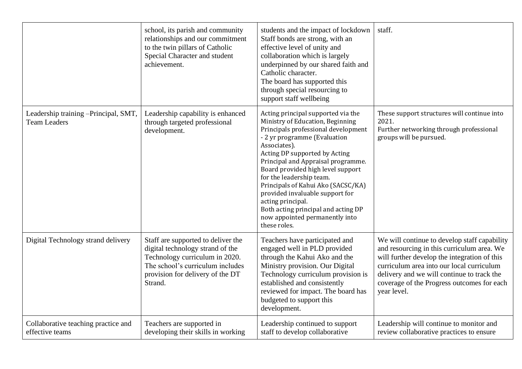|                                                             | school, its parish and community<br>relationships and our commitment<br>to the twin pillars of Catholic<br>Special Character and student<br>achievement.                                    | students and the impact of lockdown<br>Staff bonds are strong, with an<br>effective level of unity and<br>collaboration which is largely<br>underpinned by our shared faith and<br>Catholic character.<br>The board has supported this<br>through special resourcing to<br>support staff wellbeing                                                                                                                                                                                           | staff.                                                                                                                                                                                                                                                                                             |
|-------------------------------------------------------------|---------------------------------------------------------------------------------------------------------------------------------------------------------------------------------------------|----------------------------------------------------------------------------------------------------------------------------------------------------------------------------------------------------------------------------------------------------------------------------------------------------------------------------------------------------------------------------------------------------------------------------------------------------------------------------------------------|----------------------------------------------------------------------------------------------------------------------------------------------------------------------------------------------------------------------------------------------------------------------------------------------------|
| Leadership training -Principal, SMT,<br><b>Team Leaders</b> | Leadership capability is enhanced<br>through targeted professional<br>development.                                                                                                          | Acting principal supported via the<br>Ministry of Education, Beginning<br>Principals professional development<br>- 2 yr programme (Evaluation<br>Associates).<br>Acting DP supported by Acting<br>Principal and Appraisal programme.<br>Board provided high level support<br>for the leadership team.<br>Principals of Kahui Ako (SACSC/KA)<br>provided invaluable support for<br>acting principal.<br>Both acting principal and acting DP<br>now appointed permanently into<br>these roles. | These support structures will continue into<br>2021.<br>Further networking through professional<br>groups will be pursued.                                                                                                                                                                         |
| Digital Technology strand delivery                          | Staff are supported to deliver the<br>digital technology strand of the<br>Technology curriculum in 2020.<br>The school's curriculum includes<br>provision for delivery of the DT<br>Strand. | Teachers have participated and<br>engaged well in PLD provided<br>through the Kahui Ako and the<br>Ministry provision. Our Digital<br>Technology curriculum provision is<br>established and consistently<br>reviewed for impact. The board has<br>budgeted to support this<br>development.                                                                                                                                                                                                   | We will continue to develop staff capability<br>and resourcing in this curriculum area. We<br>will further develop the integration of this<br>curriculum area into our local curriculum<br>delivery and we will continue to track the<br>coverage of the Progress outcomes for each<br>year level. |
| Collaborative teaching practice and<br>effective teams      | Teachers are supported in<br>developing their skills in working                                                                                                                             | Leadership continued to support<br>staff to develop collaborative                                                                                                                                                                                                                                                                                                                                                                                                                            | Leadership will continue to monitor and<br>review collaborative practices to ensure                                                                                                                                                                                                                |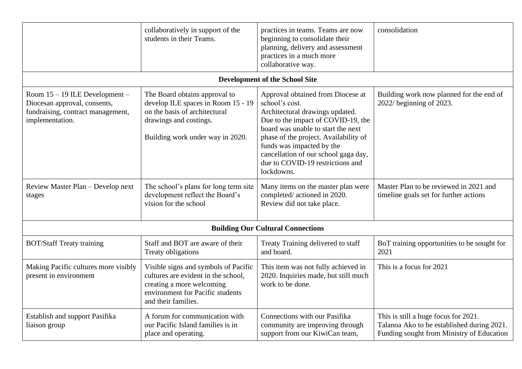|                                                                                                                        | collaboratively in support of the<br>students in their Teams.                                                                                                       | practices in teams. Teams are now<br>beginning to consolidate their<br>planning, delivery and assessment<br>practices in a much more<br>collaborative way.                                                                                                                                                                         | consolidation                                                                                                                   |  |  |  |  |  |
|------------------------------------------------------------------------------------------------------------------------|---------------------------------------------------------------------------------------------------------------------------------------------------------------------|------------------------------------------------------------------------------------------------------------------------------------------------------------------------------------------------------------------------------------------------------------------------------------------------------------------------------------|---------------------------------------------------------------------------------------------------------------------------------|--|--|--|--|--|
| <b>Development of the School Site</b>                                                                                  |                                                                                                                                                                     |                                                                                                                                                                                                                                                                                                                                    |                                                                                                                                 |  |  |  |  |  |
| Room 15 – 19 ILE Development –<br>Diocesan approval, consents,<br>fundraising, contract management,<br>implementation. | The Board obtains approval to<br>develop ILE spaces in Room 15 - 19<br>on the basis of architectural<br>drawings and costings.<br>Building work under way in 2020.  | Approval obtained from Diocese at<br>school's cost.<br>Architectural drawings updated.<br>Due to the impact of COVID-19, the<br>board was unable to start the next<br>phase of the project. Availability of<br>funds was impacted by the<br>cancellation of our school gaga day,<br>due to COVID-19 restrictions and<br>lockdowns. | Building work now planned for the end of<br>2022/ beginning of 2023.                                                            |  |  |  |  |  |
| Review Master Plan - Develop next<br>stages                                                                            | The school's plans for long term site<br>development reflect the Board's<br>vision for the school                                                                   | Many items on the master plan were<br>completed/actioned in 2020.<br>Review did not take place.                                                                                                                                                                                                                                    | Master Plan to be reviewed in 2021 and<br>timeline goals set for further actions                                                |  |  |  |  |  |
|                                                                                                                        |                                                                                                                                                                     | <b>Building Our Cultural Connections</b>                                                                                                                                                                                                                                                                                           |                                                                                                                                 |  |  |  |  |  |
| <b>BOT/Staff Treaty training</b>                                                                                       | Staff and BOT are aware of their<br>Treaty obligations                                                                                                              | Treaty Training delivered to staff<br>and board.                                                                                                                                                                                                                                                                                   | BoT training opportunities to be sought for<br>2021                                                                             |  |  |  |  |  |
| Making Pacific cultures more visibly<br>present in environment                                                         | Visible signs and symbols of Pacific<br>cultures are evident in the school,<br>creating a more welcoming<br>environment for Pacific students<br>and their families. | This item was not fully achieved in<br>2020. Inquiries made, but still much<br>work to be done.                                                                                                                                                                                                                                    | This is a focus for 2021                                                                                                        |  |  |  |  |  |
| Establish and support Pasifika<br>liaison group                                                                        | A forum for communication with<br>our Pacific Island families is in<br>place and operating.                                                                         | Connections with our Pasifika<br>community are improving through<br>support from our KiwiCan team,                                                                                                                                                                                                                                 | This is still a huge focus for 2021.<br>Talanoa Ako to be established during 2021.<br>Funding sought from Ministry of Education |  |  |  |  |  |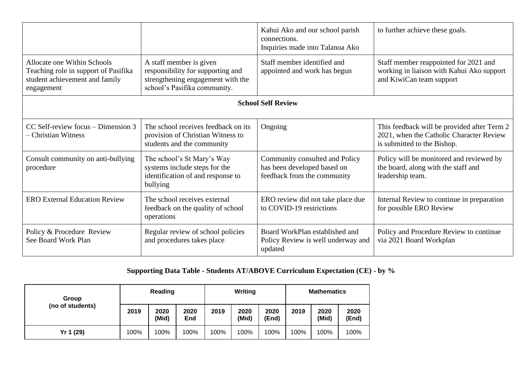|                                                                                                                     |                                                                                                                                   | Kahui Ako and our school parish<br>connections.<br>Inquiries made into Talanoa Ako           | to further achieve these goals.                                                                                        |
|---------------------------------------------------------------------------------------------------------------------|-----------------------------------------------------------------------------------------------------------------------------------|----------------------------------------------------------------------------------------------|------------------------------------------------------------------------------------------------------------------------|
| Allocate one Within Schools<br>Teaching role in support of Pasifika<br>student achievement and family<br>engagement | A staff member is given<br>responsibility for supporting and<br>strengthening engagement with the<br>school's Pasifika community. | Staff member identified and<br>appointed and work has begun                                  | Staff member reappointed for 2021 and<br>working in liaison with Kahui Ako support<br>and KiwiCan team support         |
|                                                                                                                     |                                                                                                                                   | <b>School Self Review</b>                                                                    |                                                                                                                        |
| $CC$ Self-review focus – Dimension 3<br>- Christian Witness                                                         | The school receives feedback on its<br>provision of Christian Witness to<br>students and the community                            | Ongoing                                                                                      | This feedback will be provided after Term 2<br>2021, when the Catholic Character Review<br>is submitted to the Bishop. |
| Consult community on anti-bullying<br>procedure                                                                     | The school's St Mary's Way<br>systems include steps for the<br>identification of and response to<br>bullying                      | Community consulted and Policy<br>has been developed based on<br>feedback from the community | Policy will be monitored and reviewed by<br>the board, along with the staff and<br>leadership team.                    |
| <b>ERO External Education Review</b>                                                                                | The school receives external<br>feedback on the quality of school<br>operations                                                   | ERO review did not take place due<br>to COVID-19 restrictions                                | Internal Review to continue in preparation<br>for possible ERO Review                                                  |
| Policy & Procedure Review<br>See Board Work Plan                                                                    | Regular review of school policies<br>and procedures takes place                                                                   | Board WorkPlan established and<br>Policy Review is well underway and<br>updated              | Policy and Procedure Review to continue<br>via 2021 Board Workplan                                                     |

## **Supporting Data Table - Students AT/ABOVE Curriculum Expectation (CE) - by %**

| Group<br>(no of students) |      | <b>Writing</b><br>Reading |             |      | <b>Mathematics</b> |               |      |               |               |
|---------------------------|------|---------------------------|-------------|------|--------------------|---------------|------|---------------|---------------|
|                           | 2019 | 2020<br>(Mid)             | 2020<br>End | 2019 | 2020<br>(Mid)      | 2020<br>(End) | 2019 | 2020<br>(Mid) | 2020<br>(End) |
| Yr 1 (29)                 | 100% | 100%                      | 100%        | 100% | 100%               | 100%          | 100% | 100%          | 100%          |